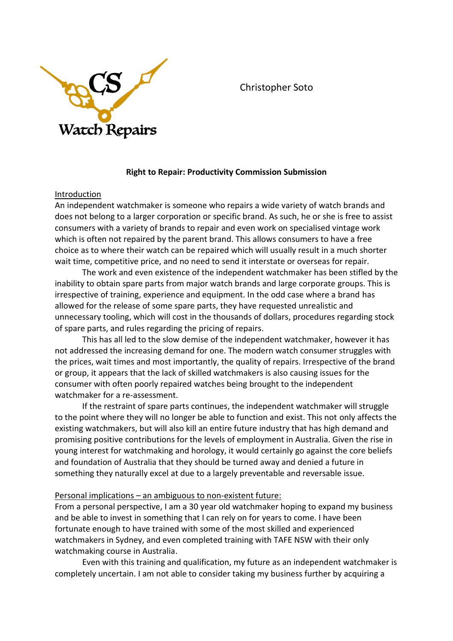

Christopher Soto

# **Right to Repair: Productivity Commission Submission**

#### Introduction

An independent watchmaker is someone who repairs a wide variety of watch brands and does not belong to a larger corporation or specific brand. As such, he or she is free to assist consumers with a variety of brands to repair and even work on specialised vintage work which is often not repaired by the parent brand. This allows consumers to have a free choice as to where their watch can be repaired which will usually result in a much shorter wait time, competitive price, and no need to send it interstate or overseas for repair.

The work and even existence of the independent watchmaker has been stifled by the inability to obtain spare parts from major watch brands and large corporate groups. This is irrespective of training, experience and equipment. In the odd case where a brand has allowed for the release of some spare parts, they have requested unrealistic and unnecessary tooling, which will cost in the thousands of dollars, procedures regarding stock of spare parts, and rules regarding the pricing of repairs.

This has all led to the slow demise of the independent watchmaker, however it has not addressed the increasing demand for one. The modern watch consumer struggles with the prices, wait times and most importantly, the quality of repairs. Irrespective of the brand or group, it appears that the lack of skilled watchmakers is also causing issues for the consumer with often poorly repaired watches being brought to the independent watchmaker for a re-assessment.

If the restraint of spare parts continues, the independent watchmaker will struggle to the point where they will no longer be able to function and exist. This not only affects the existing watchmakers, but will also kill an entire future industry that has high demand and promising positive contributions for the levels of employment in Australia. Given the rise in young interest for watchmaking and horology, it would certainly go against the core beliefs and foundation of Australia that they should be turned away and denied a future in something they naturally excel at due to a largely preventable and reversable issue.

## Personal implications – an ambiguous to non-existent future:

From a personal perspective, I am a 30 year old watchmaker hoping to expand my business and be able to invest in something that I can rely on for years to come. I have been fortunate enough to have trained with some of the most skilled and experienced watchmakers in Sydney, and even completed training with TAFE NSW with their only watchmaking course in Australia.

Even with this training and qualification, my future as an independent watchmaker is completely uncertain. I am not able to consider taking my business further by acquiring a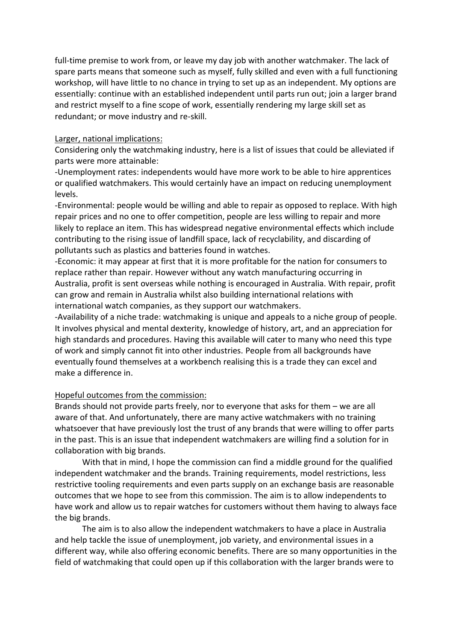full-time premise to work from, or leave my day job with another watchmaker. The lack of spare parts means that someone such as myself, fully skilled and even with a full functioning workshop, will have little to no chance in trying to set up as an independent. My options are essentially: continue with an established independent until parts run out; join a larger brand and restrict myself to a fine scope of work, essentially rendering my large skill set as redundant; or move industry and re-skill.

#### Larger, national implications:

Considering only the watchmaking industry, here is a list of issues that could be alleviated if parts were more attainable:

-Unemployment rates: independents would have more work to be able to hire apprentices or qualified watchmakers. This would certainly have an impact on reducing unemployment levels.

-Environmental: people would be willing and able to repair as opposed to replace. With high repair prices and no one to offer competition, people are less willing to repair and more likely to replace an item. This has widespread negative environmental effects which include contributing to the rising issue of landfill space, lack of recyclability, and discarding of pollutants such as plastics and batteries found in watches.

-Economic: it may appear at first that it is more profitable for the nation for consumers to replace rather than repair. However without any watch manufacturing occurring in Australia, profit is sent overseas while nothing is encouraged in Australia. With repair, profit can grow and remain in Australia whilst also building international relations with international watch companies, as they support our watchmakers.

-Availability of a niche trade: watchmaking is unique and appeals to a niche group of people. It involves physical and mental dexterity, knowledge of history, art, and an appreciation for high standards and procedures. Having this available will cater to many who need this type of work and simply cannot fit into other industries. People from all backgrounds have eventually found themselves at a workbench realising this is a trade they can excel and make a difference in.

## Hopeful outcomes from the commission:

Brands should not provide parts freely, nor to everyone that asks for them – we are all aware of that. And unfortunately, there are many active watchmakers with no training whatsoever that have previously lost the trust of any brands that were willing to offer parts in the past. This is an issue that independent watchmakers are willing find a solution for in collaboration with big brands.

With that in mind, I hope the commission can find a middle ground for the qualified independent watchmaker and the brands. Training requirements, model restrictions, less restrictive tooling requirements and even parts supply on an exchange basis are reasonable outcomes that we hope to see from this commission. The aim is to allow independents to have work and allow us to repair watches for customers without them having to always face the big brands.

The aim is to also allow the independent watchmakers to have a place in Australia and help tackle the issue of unemployment, job variety, and environmental issues in a different way, while also offering economic benefits. There are so many opportunities in the field of watchmaking that could open up if this collaboration with the larger brands were to